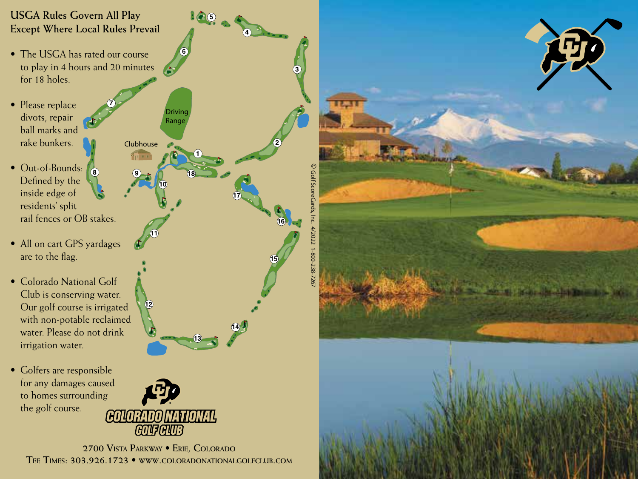## **USGA Rules Govern All Play Except Where Local Rules Prevail**

• The USGA has rated our course to play in 4 hours and 20 minutes for 18 holes.

**7**

Clubhouse

Driving Range

**6**

**10**

**9 18**

**11**

**12**

**1**

**1** (5)

**13**

**14**

**17**

**2**

**15**

**16**

**4**

- Please replace divots, repair ball marks and rake bunkers.
- **8** • Out-of-Bounds: Defined by the inside edge of residents' split rail fences or OB stakes.
- All on cart GPS yardages are to the flag.
- Colorado National Golf Club is conserving water. Our golf course is irrigated with non-potable reclaimed water. Please do not drink irrigation water.
- Golfers are responsible for any damages caused to homes surrounding the golf course.



**2700 Vista Parkway • Erie, Colorado Tee Times: 303.926.1723 • www.coloradonationalgolfclub.com**